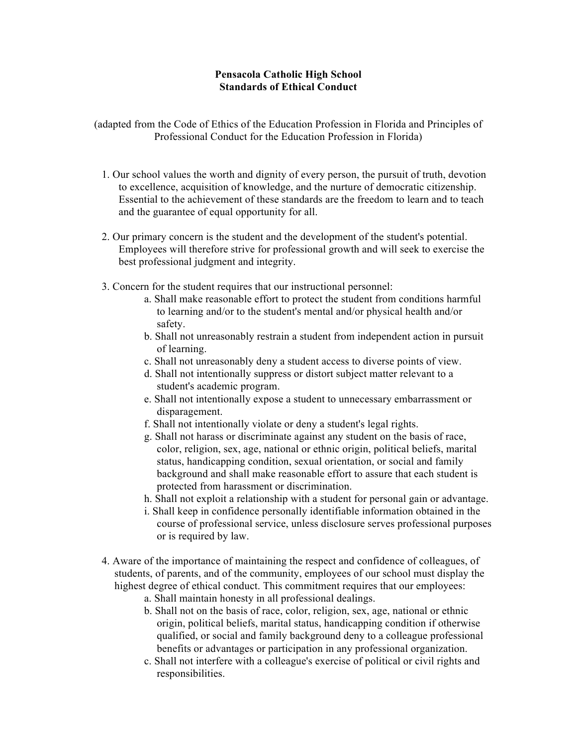## **Pensacola Catholic High School Standards of Ethical Conduct**

(adapted from the Code of Ethics of the Education Profession in Florida and Principles of Professional Conduct for the Education Profession in Florida)

- 1. Our school values the worth and dignity of every person, the pursuit of truth, devotion to excellence, acquisition of knowledge, and the nurture of democratic citizenship. Essential to the achievement of these standards are the freedom to learn and to teach and the guarantee of equal opportunity for all.
- 2. Our primary concern is the student and the development of the student's potential. Employees will therefore strive for professional growth and will seek to exercise the best professional judgment and integrity.
- 3. Concern for the student requires that our instructional personnel:
	- a. Shall make reasonable effort to protect the student from conditions harmful to learning and/or to the student's mental and/or physical health and/or safety.
	- b. Shall not unreasonably restrain a student from independent action in pursuit of learning.
	- c. Shall not unreasonably deny a student access to diverse points of view.
	- d. Shall not intentionally suppress or distort subject matter relevant to a student's academic program.
	- e. Shall not intentionally expose a student to unnecessary embarrassment or disparagement.
	- f. Shall not intentionally violate or deny a student's legal rights.
	- g. Shall not harass or discriminate against any student on the basis of race, color, religion, sex, age, national or ethnic origin, political beliefs, marital status, handicapping condition, sexual orientation, or social and family background and shall make reasonable effort to assure that each student is protected from harassment or discrimination.
	- h. Shall not exploit a relationship with a student for personal gain or advantage.
	- i. Shall keep in confidence personally identifiable information obtained in the course of professional service, unless disclosure serves professional purposes or is required by law.
- 4. Aware of the importance of maintaining the respect and confidence of colleagues, of students, of parents, and of the community, employees of our school must display the highest degree of ethical conduct. This commitment requires that our employees:
	- a. Shall maintain honesty in all professional dealings.
	- b. Shall not on the basis of race, color, religion, sex, age, national or ethnic origin, political beliefs, marital status, handicapping condition if otherwise qualified, or social and family background deny to a colleague professional benefits or advantages or participation in any professional organization.
	- c. Shall not interfere with a colleague's exercise of political or civil rights and responsibilities.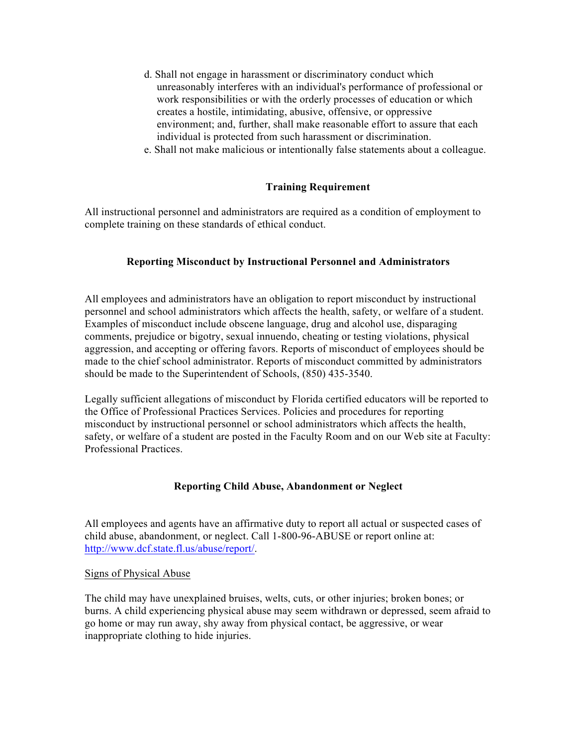- d. Shall not engage in harassment or discriminatory conduct which unreasonably interferes with an individual's performance of professional or work responsibilities or with the orderly processes of education or which creates a hostile, intimidating, abusive, offensive, or oppressive environment; and, further, shall make reasonable effort to assure that each individual is protected from such harassment or discrimination.
- e. Shall not make malicious or intentionally false statements about a colleague.

## **Training Requirement**

All instructional personnel and administrators are required as a condition of employment to complete training on these standards of ethical conduct.

## **Reporting Misconduct by Instructional Personnel and Administrators**

All employees and administrators have an obligation to report misconduct by instructional personnel and school administrators which affects the health, safety, or welfare of a student. Examples of misconduct include obscene language, drug and alcohol use, disparaging comments, prejudice or bigotry, sexual innuendo, cheating or testing violations, physical aggression, and accepting or offering favors. Reports of misconduct of employees should be made to the chief school administrator. Reports of misconduct committed by administrators should be made to the Superintendent of Schools, (850) 435-3540.

Legally sufficient allegations of misconduct by Florida certified educators will be reported to the Office of Professional Practices Services. Policies and procedures for reporting misconduct by instructional personnel or school administrators which affects the health, safety, or welfare of a student are posted in the Faculty Room and on our Web site at Faculty: Professional Practices.

### **Reporting Child Abuse, Abandonment or Neglect**

All employees and agents have an affirmative duty to report all actual or suspected cases of child abuse, abandonment, or neglect. Call 1-800-96-ABUSE or report online at: http://www.dcf.state.fl.us/abuse/report/.

#### Signs of Physical Abuse

The child may have unexplained bruises, welts, cuts, or other injuries; broken bones; or burns. A child experiencing physical abuse may seem withdrawn or depressed, seem afraid to go home or may run away, shy away from physical contact, be aggressive, or wear inappropriate clothing to hide injuries.